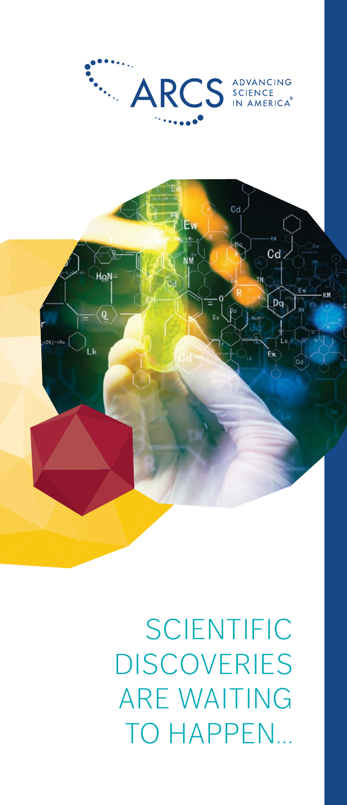**SCIENTIFIC DISCOVERIES** ARE WAITING TO HAPPEN...



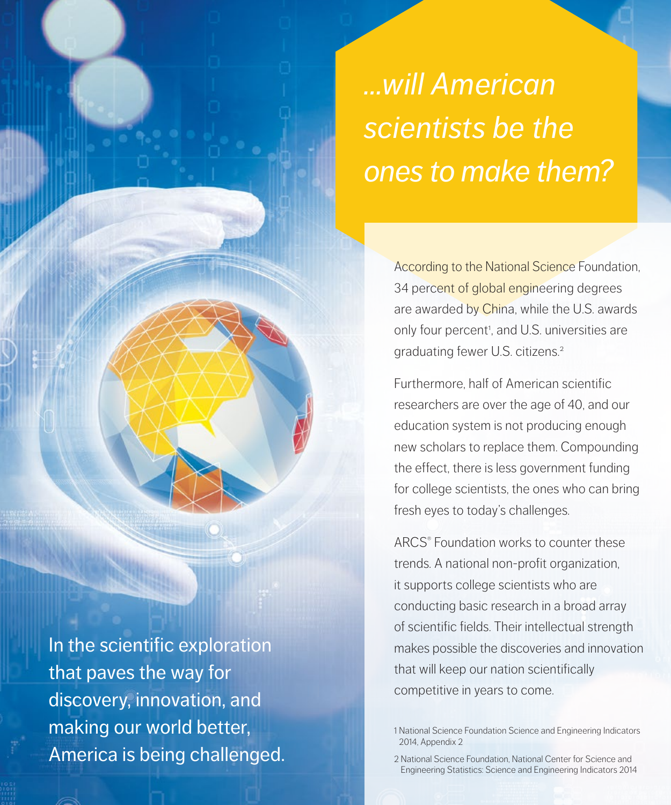# *…will American scientists be the ones to make them?*

According to the National Science Foundation, 34 percent of global engineering degrees are awarded by China, while the U.S. awards only four percent<sup>1</sup>, and U.S. universities are graduating fewer U.S. citizens.2

Furthermore, half of American scientific researchers are over the age of 40, and our education system is not producing enough new scholars to replace them. Compounding the effect, there is less government funding for college scientists, the ones who can bring fresh eyes to today's challenges.

ARCS® Foundation works to counter these trends. A national non-profit organization, it supports college scientists who are conducting basic research in a broad array of scientific fields. Their intellectual strength makes possible the discoveries and innovation that will keep our nation scientifically competitive in years to come.

1 National Science Foundation Science and Engineering Indicators 2014, Appendix 2

2 National Science Foundation, National Center for Science and Engineering Statistics: Science and Engineering Indicators 2014

In the scientific exploration that paves the way for discovery, innovation, and making our world better, America is being challenged.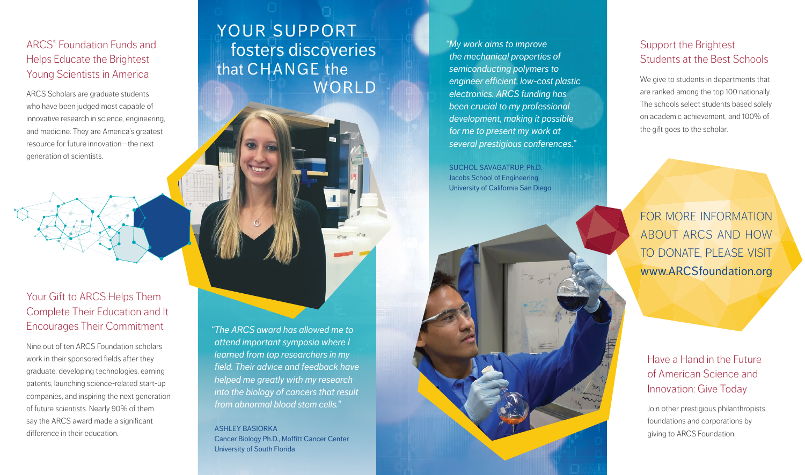### ARCS® Foundation Funds and Helps Educate the Brightest Young Scientists in America

ARCS Scholars are graduate students who have been judged most capable of innovative research in science, engineering, and medicine. They are America's greatest resource for future innovation—the next generation of scientists.

### Your Gift to ARCS Helps Them Complete Their Education and It Encourages Their Commitment

Nine out of ten ARCS Foundation scholars work in their sponsored fields after they graduate, developing technologies, earning patents, launching science-related start-up companies, and inspiring the next generation of future scientists. Nearly 90% of them say the ARCS award made a significant difference in their education.

## YOUR SUPPORT fosters discoveries that CHANGE the WORLD

*"The ARCS award has allowed me to attend important symposia where I learned from top researchers in my field. Their advice and feedback have helped me greatly with my research into the biology of cancers that result from abnormal blood stem cells."*

**ASHI FY BASIORKA** Cancer Biology Ph.D., Moffitt Cancer Center University of South Florida

*"My work aims to improve the mechanical properties of semiconducting polymers to engineer efficient, low-cost plastic electronics. ARCS funding has been crucial to my professional development, making it possible for me to present my work at several prestigious conferences."*

SUCHOL SAVAGATRUP, Ph.D. Jacobs School of Engineering



### Support the Brightest Students at the Best Schools

We give to students in departments that are ranked among the top 100 nationally. The schools select students based solely on academic achievement, and 100% of the gift goes to the scholar.

FOR MORE INFORMATION ABOUT ARCS AND HOW TO DONATE, PLEASE VISIT www.ARCSfoundation.org

Have a Hand in the Future of American Science and Innovation: Give Today

Join other prestigious philanthropists, foundations and corporations by giving to ARCS Foundation.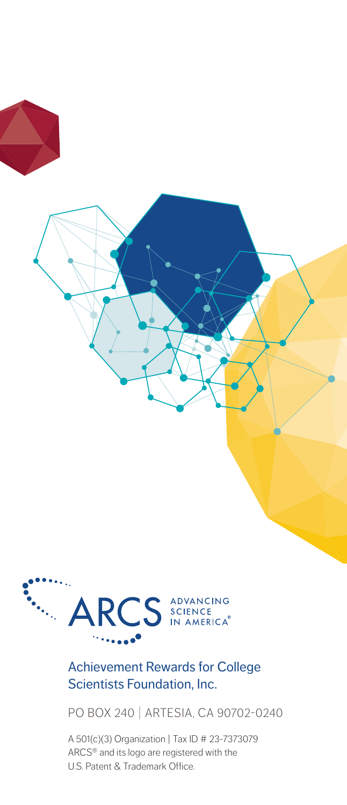

#### Achievement Rewards for College Scientists Foundation, Inc.

PO BOX 240 | ARTESIA, CA 90702-0240

A 501(c)(3) Organization | Tax ID # 23-7373079 ARCS® and its logo are registered with the U.S. Patent & Trademark Office.